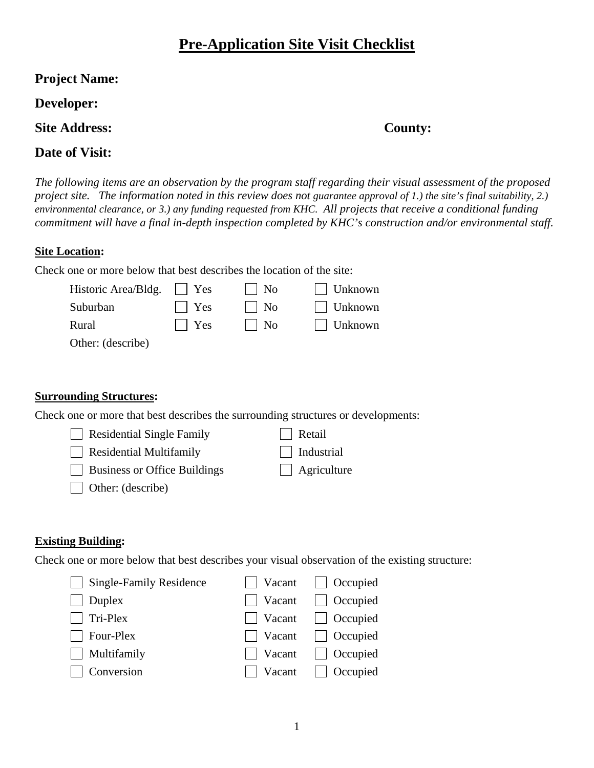# **Pre-Application Site Visit Checklist**

# **Developer:**

**Site Address: County:** 

# **Date of Visit:**

*The following items are an observation by the program staff regarding their visual assessment of the proposed project site. The information noted in this review does not guarantee approval of 1.) the site's final suitability, 2.) environmental clearance, or 3.) any funding requested from KHC. All projects that receive a conditional funding commitment will have a final in-depth inspection completed by KHC's construction and/or environmental staff.* 

# **Site Location:**

Check one or more below that best describes the location of the site:

| Historic Area/Bldg. | $\vert$   Yes | $\vert$   No | $\vert$ Unknown |
|---------------------|---------------|--------------|-----------------|
| Suburban            | $\vert$   Yes | $\vert$   No | $\Box$ Unknown  |
| Rural               | $\vert$   Yes | $\vert$   No | $\Box$ Unknown  |
| Other: (describe)   |               |              |                 |

## **Surrounding Structures:**

Check one or more that best describes the surrounding structures or developments:

| Residential Single Family           | $\vert$ Retail     |
|-------------------------------------|--------------------|
| $\Box$ Residential Multifamily      | Industrial         |
| $\Box$ Business or Office Buildings | $\Box$ Agriculture |
| Other: (describe)                   |                    |

# **Existing Building:**

Check one or more below that best describes your visual observation of the existing structure:

| Single-Family Residence | $\Box$ Vacant $\Box$ Occupied |
|-------------------------|-------------------------------|
| $\Box$ Duplex           | $\Box$ Vacant $\Box$ Occupied |
| $\Box$ Tri-Plex         | $\Box$ Vacant $\Box$ Occupied |
| $\Box$ Four-Plex        | $\Box$ Vacant $\Box$ Occupied |
| $\Box$ Multifamily      | $\Box$ Vacant $\Box$ Occupied |
| $\Box$ Conversion       | $\Box$ Vacant $\Box$ Occupied |